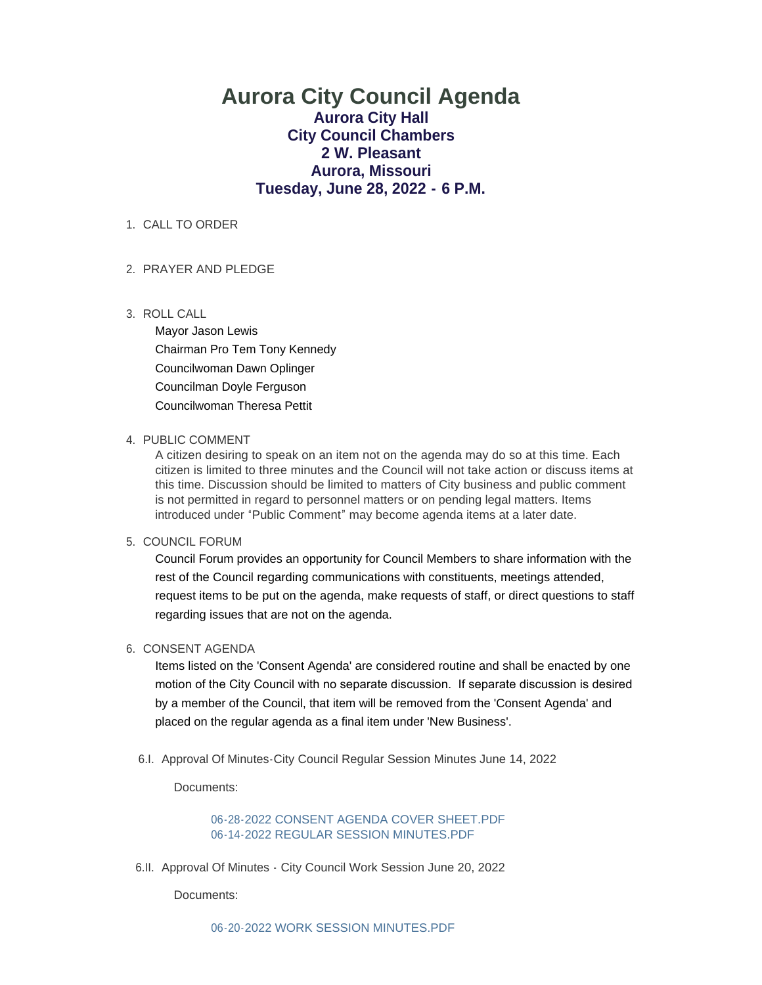# **Aurora City Council Agenda Aurora City Hall City Council Chambers 2 W. Pleasant Aurora, Missouri Tuesday, June 28, 2022 - 6 P.M.**

### 1. CALL TO ORDER

### 2. PRAYER AND PLEDGE

ROLL CALL 3.

Mayor Jason Lewis Chairman Pro Tem Tony Kennedy Councilwoman Dawn Oplinger Councilman Doyle Ferguson Councilwoman Theresa Pettit

### 4. PUBLIC COMMENT

A citizen desiring to speak on an item not on the agenda may do so at this time. Each citizen is limited to three minutes and the Council will not take action or discuss items at this time. Discussion should be limited to matters of City business and public comment is not permitted in regard to personnel matters or on pending legal matters. Items introduced under "Public Comment" may become agenda items at a later date.

#### 5. COUNCIL FORUM

Council Forum provides an opportunity for Council Members to share information with the rest of the Council regarding communications with constituents, meetings attended, request items to be put on the agenda, make requests of staff, or direct questions to staff regarding issues that are not on the agenda.

## 6. CONSENT AGENDA

Items listed on the 'Consent Agenda' are considered routine and shall be enacted by one motion of the City Council with no separate discussion. If separate discussion is desired by a member of the Council, that item will be removed from the 'Consent Agenda' and placed on the regular agenda as a final item under 'New Business'.

6.I. Approval Of Minutes-City Council Regular Session Minutes June 14, 2022

Documents:

[06-28-2022 CONSENT AGENDA COVER SHEET.PDF](https://www.aurora-cityhall.org/AgendaCenter/ViewFile/Item/1964?fileID=2294) [06-14-2022 REGULAR SESSION MINUTES.PDF](https://www.aurora-cityhall.org/AgendaCenter/ViewFile/Item/1964?fileID=2295)

6.II. Approval Of Minutes - City Council Work Session June 20, 2022

Documents: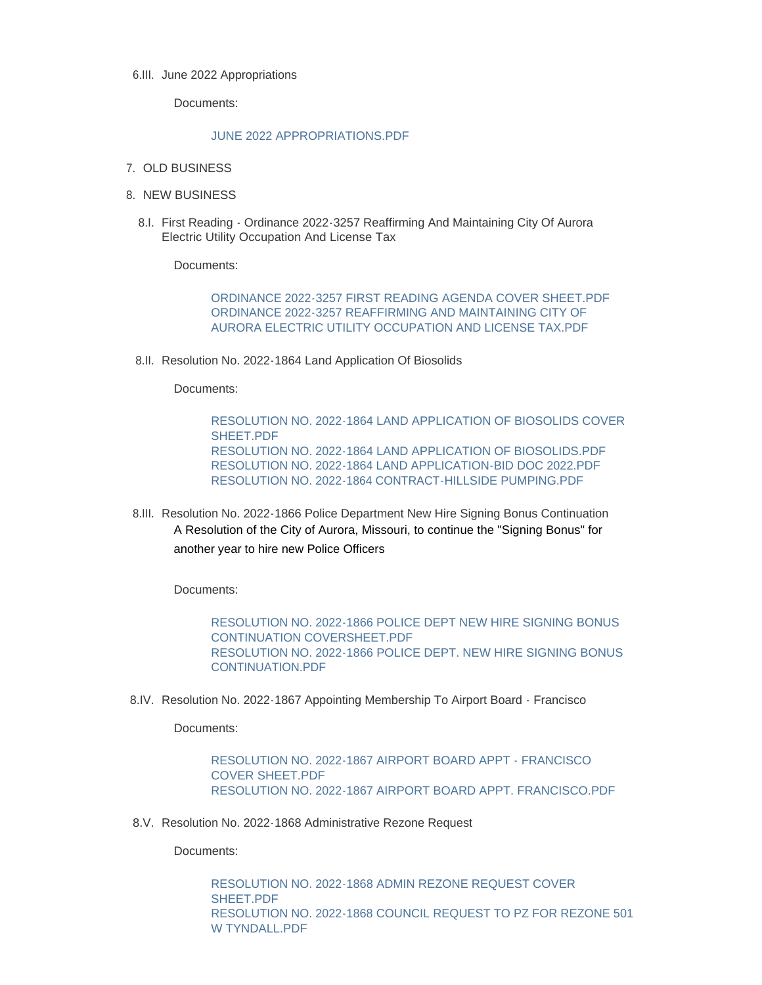#### 6.III. June 2022 Appropriations

Documents:

#### [JUNE 2022 APPROPRIATIONS.PDF](https://www.aurora-cityhall.org/AgendaCenter/ViewFile/Item/1966?fileID=2320)

- 7. OLD BUSINESS
- 8. NEW BUSINESS
	- 8.I. First Reading Ordinance 2022-3257 Reaffirming And Maintaining City Of Aurora Electric Utility Occupation And License Tax

Documents:

[ORDINANCE 2022-3257 FIRST READING AGENDA COVER SHEET.PDF](https://www.aurora-cityhall.org/AgendaCenter/ViewFile/Item/1973?fileID=2318) [ORDINANCE 2022-3257 REAFFIRMING AND MAINTAINING CITY OF](https://www.aurora-cityhall.org/AgendaCenter/ViewFile/Item/1973?fileID=2319)  AURORA ELECTRIC UTILITY OCCUPATION AND LICENSE TAX.PDF

8.II. Resolution No. 2022-1864 Land Application Of Biosolids

Documents:

[RESOLUTION NO. 2022-1864 LAND APPLICATION OF BIOSOLIDS COVER](https://www.aurora-cityhall.org/AgendaCenter/ViewFile/Item/1967?fileID=2305)  SHEET.PDF [RESOLUTION NO. 2022-1864 LAND APPLICATION OF BIOSOLIDS.PDF](https://www.aurora-cityhall.org/AgendaCenter/ViewFile/Item/1967?fileID=2306) [RESOLUTION NO. 2022-1864 LAND APPLICATION-BID DOC 2022.PDF](https://www.aurora-cityhall.org/AgendaCenter/ViewFile/Item/1967?fileID=2307) [RESOLUTION NO. 2022-1864 CONTRACT-HILLSIDE PUMPING.PDF](https://www.aurora-cityhall.org/AgendaCenter/ViewFile/Item/1967?fileID=2304)

8.III. Resolution No. 2022-1866 Police Department New Hire Signing Bonus Continuation A Resolution of the City of Aurora, Missouri, to continue the "Signing Bonus" for another year to hire new Police Officers

Documents:

[RESOLUTION NO. 2022-1866 POLICE DEPT NEW HIRE SIGNING BONUS](https://www.aurora-cityhall.org/AgendaCenter/ViewFile/Item/1969?fileID=2302)  CONTINUATION COVERSHEET.PDF [RESOLUTION NO. 2022-1866 POLICE DEPT. NEW HIRE SIGNING BONUS](https://www.aurora-cityhall.org/AgendaCenter/ViewFile/Item/1969?fileID=2303)  CONTINUATION.PDF

8.IV. Resolution No. 2022-1867 Appointing Membership To Airport Board - Francisco

Documents:

[RESOLUTION NO. 2022-1867 AIRPORT BOARD APPT - FRANCISCO](https://www.aurora-cityhall.org/AgendaCenter/ViewFile/Item/1968?fileID=2300)  COVER SHEET.PDF [RESOLUTION NO. 2022-1867 AIRPORT BOARD APPT. FRANCISCO.PDF](https://www.aurora-cityhall.org/AgendaCenter/ViewFile/Item/1968?fileID=2301)

8.V. Resolution No. 2022-1868 Administrative Rezone Request

Documents:

[RESOLUTION NO. 2022-1868 ADMIN REZONE REQUEST COVER](https://www.aurora-cityhall.org/AgendaCenter/ViewFile/Item/1970?fileID=2309)  SHEET.PDF [RESOLUTION NO. 2022-1868 COUNCIL REQUEST TO PZ FOR REZONE 501](https://www.aurora-cityhall.org/AgendaCenter/ViewFile/Item/1970?fileID=2310)  W TYNDALL.PDF